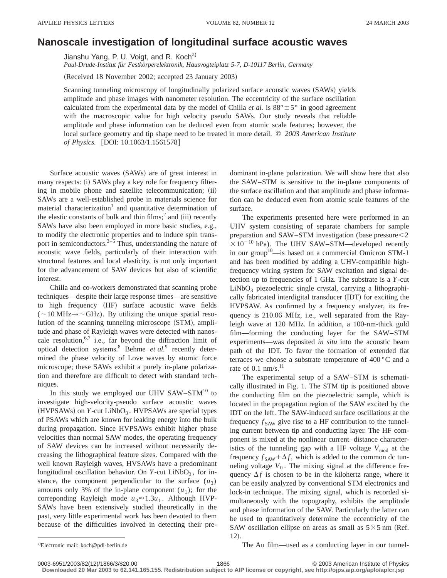## **Nanoscale investigation of longitudinal surface acoustic waves**

Jianshu Yang, P. U. Voigt, and R. Koch<sup>a)</sup>

*Paul-Drude-Institut fu¨r Festko¨rperelektronik, Hausvogteiplatz 5-7, D-10117 Berlin, Germany*

(Received 18 November 2002; accepted 23 January 2003)

Scanning tunneling microscopy of longitudinally polarized surface acoustic waves  $(SAWs)$  yields amplitude and phase images with nanometer resolution. The eccentricity of the surface oscillation calculated from the experimental data by the model of Chilla *et al.* is  $88^\circ \pm 5^\circ$  in good agreement with the macroscopic value for high velocity pseudo SAWs. Our study reveals that reliable amplitude and phase information can be deduced even from atomic scale features; however, the local surface geometry and tip shape need to be treated in more detail. © *2003 American Institute of Physics.* [DOI: 10.1063/1.1561578]

Surface acoustic waves (SAWs) are of great interest in many respects: (i) SAWs play a key role for frequency filtering in mobile phone and satellite telecommunication; (ii) SAWs are a well-established probe in materials science for material characterization<sup>1</sup> and quantitative determination of the elastic constants of bulk and thin  $\text{films};^2$  and (iii) recently SAWs have also been employed in more basic studies, e.g., to modify the electronic properties and to induce spin transport in semiconductors. $3-5$  Thus, understanding the nature of acoustic wave fields, particularly of their interaction with structural features and local elasticity, is not only important for the advancement of SAW devices but also of scientific interest.

Chilla and co-workers demonstrated that scanning probe techniques—despite their large response times—are sensitive to high frequency (HF) surface acoustic wave fields  $( $\sim$ 10 MHz $\rightarrow$ ~GHz). By utilizing the unique spatial reso$ lution of the scanning tunneling microscope (STM), amplitude and phase of Rayleigh waves were detected with nanoscale resolution,  $6,7$  i.e., far beyond the diffraction limit of optical detection systems.8 Behme *et al.*<sup>9</sup> recently determined the phase velocity of Love waves by atomic force microscope; these SAWs exhibit a purely in-plane polarization and therefore are difficult to detect with standard techniques.

In this study we employed our UHV  $SAW - STM^{10}$  to investigate high-velocity-pseudo surface acoustic waves  $(HVPSAWs)$  on  $Y$ -cut LiNbO<sub>3</sub>. HVPSAWs are special types of PSAWs which are known for leaking energy into the bulk during propagation. Since HVPSAWs exhibit higher phase velocities than normal SAW modes, the operating frequency of SAW devices can be increased without necessarily decreasing the lithographical feature sizes. Compared with the well known Rayleigh waves, HVSAWs have a predominant longitudinal oscillation behavior. On  $Y$ -cut LiNbO<sub>3</sub>, for instance, the component perpendicular to the surface  $(u_3)$ amounts only 3% of the in-plane component  $(u_1)$ ; for the correponding Rayleigh mode  $u_3 \approx 1.3u_1$ . Although HVP-SAWs have been extensively studied theoretically in the past, very little experimental work has been devoted to them because of the difficulties involved in detecting their predominant in-plane polarization. We will show here that also the SAW–STM is sensitive to the in-plane components of the surface oscillation and that amplitude and phase information can be deduced even from atomic scale features of the surface.

The experiments presented here were performed in an UHV system consisting of separate chambers for sample preparation and SAW–STM investigation (base pressure $<$ 2  $\times 10^{-10}$  hPa). The UHV SAW–STM—developed recently in our group<sup>10</sup>—is based on a commercial Omicron STM-1 and has been modified by adding a UHV-compatible highfrequency wiring system for SAW excitation and signal detection up to frequencies of 1 GHz. The substrate is a *Y*-cut  $LiNbO<sub>3</sub>$  piezoelectric single crystal, carrying a lithographically fabricated interdigital transducer (IDT) for exciting the HVPSAW. As confirmed by a frequency analyzer, its frequency is 210.06 MHz, i.e., well separated from the Rayleigh wave at 120 MHz. In addition, a 100-nm-thick gold film—forming the conducting layer for the SAW–STM experiments—was deposited *in situ* into the acoustic beam path of the IDT. To favor the formation of extended flat terraces we choose a substrate temperature of 400 °C and a rate of  $0.1 \text{ nm/s}$ .<sup>11</sup>

The experimental setup of a SAW–STM is schematically illustrated in Fig. 1. The STM tip is positioned above the conducting film on the piezoelectric sample, which is located in the propagation region of the SAW excited by the IDT on the left. The SAW-induced surface oscillations at the frequency  $f_{SAW}$  give rise to a HF contribution to the tunneling current between tip and conducting layer. The HF component is mixed at the nonlinear current–distance characteristics of the tunneling gap with a HF voltage  $V_{\text{mod}}$  at the frequency  $f_{SAW} + \Delta f$ , which is added to the common dc tunneling voltage  $V_0$ . The mixing signal at the difference frequency  $\Delta f$  is chosen to be in the kilohertz range, where it can be easily analyzed by conventional STM electronics and lock-in technique. The mixing signal, which is recorded simultaneously with the topography, exhibits the amplitude and phase information of the SAW. Particularly the latter can be used to quantitatively determine the eccentricity of the SAW oscillation ellipse on areas as small as  $5 \times 5$  nm (Ref. 12).

The Au film—used as a conducting layer in our tunnel-

Electronic mail: koch@pdi-berlin.de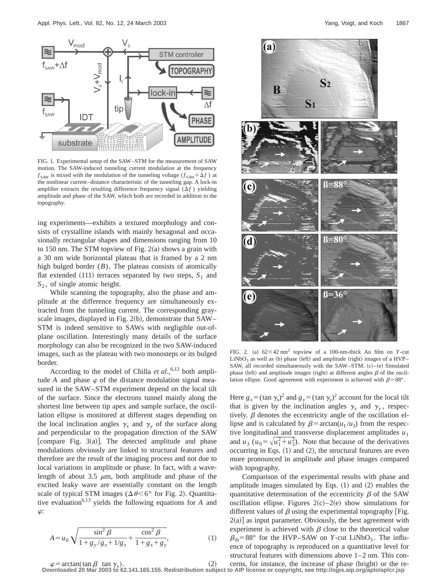

FIG. 1. Experimental setup of the SAW–STM for the measurement of SAW motion. The SAW-induced tunneling current modulation at the frequency  $f_{SAW}$  is mixed with the modulation of the tunneling voltage ( $f_{SAW} + \Delta f$ ) at the nonlinear current–distance characteristic of the tunneling gap. A lock-in amplifier extracts the resulting difference frequency signal  $(\Delta f)$  yielding amplitude and phase of the SAW, which both are recorded in addition to the topography.

ing experiments—exhibits a textured morphology and consists of crystalline islands with mainly hexagonal and occasionally rectangular shapes and dimensions ranging from 10 to 150 nm. The STM topview of Fig.  $2(a)$  shows a grain with a 30 nm wide horizontal plateau that is framed by a 2 nm high bulged border  $(B)$ . The plateau consists of atomically flat extended  $(111)$  terraces separated by two steps,  $S_1$  and *S*<sup>2</sup> , of single atomic height.

While scanning the topography, also the phase and amplitude at the difference frequency are simultaneously extracted from the tunneling current. The corresponding grayscale images, displayed in Fig. 2(b), demonstrate that  $SAW-$ STM is indeed sensitive to SAWs with negligible out-ofplane oscillation. Interestingly many details of the surface morphology can also be recognized in the two SAW-induced images, such as the plateau with two monosteps or its bulged border.

According to the model of Chilla *et al.*,<sup>6,13</sup> both amplitude *A* and phase  $\varphi$  of the distance modulation signal measured in the SAW–STM experiment depend on the local tilt of the surface. Since the electrons tunnel mainly along the shortest line between tip apex and sample surface, the oscillation ellipse is monitored at different stages depending on the local inclination angles  $\gamma_x$  and  $\gamma_y$  of the surface along and perpendicular to the propagation direction of the SAW [compare Fig.  $3(a)$ ]. The detected amplitude and phase modulations obviously are linked to structural features and therefore are the result of the imaging process and not due to local variations in amplitude or phase. In fact, with a wavelength of about 3.5  $\mu$ m, both amplitude and phase of the excited leaky wave are essentially constant on the length scale of typical STM images ( $\Delta \theta \leq 6^{\circ}$  for Fig. 2). Quantitative evaluation<sup>6,13</sup> yields the following equations for  $A$  and  $\varphi$ :

$$
A = u_0 \sqrt{\frac{\sin^2 \beta}{1 + g_y / g_x + 1/g_x} + \frac{\cos^2 \beta}{1 + g_x + g_y}},
$$
(1)



FIG. 2. (a)  $62\times42$  nm<sup>2</sup> topview of a 100-nm-thick Au film on *Y*-cut  $LiNbO<sub>3</sub>$  as well as (b) phase (left) and amplitude (right) images of a HVP– SAW, all recorded simultaneously with the SAW–STM. (c)–(e) Simulated phase (left) and amplitude images (right) at different angles  $\beta$  of the oscillation ellipse. Good agreement with experiment is achieved with  $\beta = 88^\circ$ .

Here  $g_x = (\tan \gamma_x)^2$  and  $g_y = (\tan \gamma_y)^2$  account for the local tilt that is given by the inclination angles  $\gamma_x$  and  $\gamma_y$ , respectively.  $\beta$  denotes the eccentricity angle of the oscillation ellipse and is calculated by  $\beta = \arctan(u_1 / u_3)$  from the respective longitudinal and transverse displacement amplitudes  $u_1$ and  $u_3$  ( $u_0 = \sqrt{u_1^2 + u_3^2}$ ). Note that because of the derivatives occurring in Eqs.  $(1)$  and  $(2)$ , the structural features are even more pronounced in amplitude and phase images compared with topography.

Comparison of the experimental results with phase and amplitude images simulated by Eqs.  $(1)$  and  $(2)$  enables the quantitative determination of the eccentricity  $\beta$  of the SAW oscillation ellipse. Figures  $2(c) - 2(e)$  show simulations for different values of  $\beta$  using the experimental topography [Fig.  $2(a)$ ] as input parameter. Obviously, the best agreement with experiment is achieved with  $\beta$  close to the theoretical value  $\beta_{\text{th}}$ =88° for the HVP–SAW on *Y*-cut LiNbO<sub>3</sub>. The influence of topography is reproduced on a quantitative level for structural features with dimensions above 1–2 nm. This con-

 $\varphi$  = arctan(tan  $\beta$  tan  $\gamma_x$ ). (2) cerns, for instance, the increase of phase (bright) or the re-<br>Downloaded 20 Mar 2003 to 62.141.165.155. Redistribution subject to AIP license or copyright, see http://ojps.aip.org/